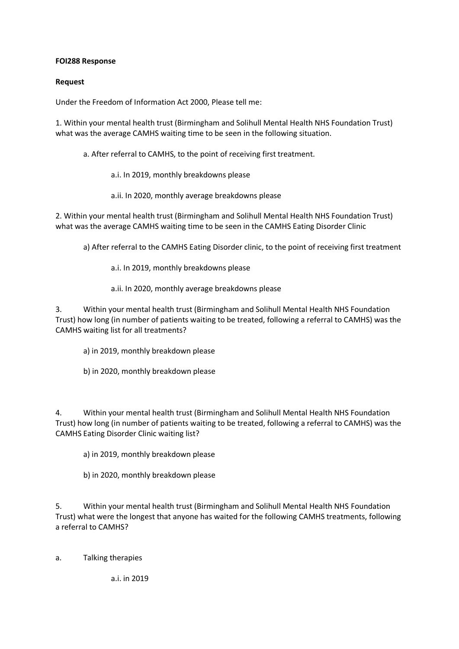## **FOI288 Response**

## **Request**

Under the Freedom of Information Act 2000, Please tell me:

1. Within your mental health trust (Birmingham and Solihull Mental Health NHS Foundation Trust) what was the average CAMHS waiting time to be seen in the following situation.

a. After referral to CAMHS, to the point of receiving first treatment.

- a.i. In 2019, monthly breakdowns please
- a.ii. In 2020, monthly average breakdowns please

2. Within your mental health trust (Birmingham and Solihull Mental Health NHS Foundation Trust) what was the average CAMHS waiting time to be seen in the CAMHS Eating Disorder Clinic

a) After referral to the CAMHS Eating Disorder clinic, to the point of receiving first treatment

- a.i. In 2019, monthly breakdowns please
- a.ii. In 2020, monthly average breakdowns please

3. Within your mental health trust (Birmingham and Solihull Mental Health NHS Foundation Trust) how long (in number of patients waiting to be treated, following a referral to CAMHS) was the CAMHS waiting list for all treatments?

- a) in 2019, monthly breakdown please
- b) in 2020, monthly breakdown please

4. Within your mental health trust (Birmingham and Solihull Mental Health NHS Foundation Trust) how long (in number of patients waiting to be treated, following a referral to CAMHS) was the CAMHS Eating Disorder Clinic waiting list?

a) in 2019, monthly breakdown please

b) in 2020, monthly breakdown please

5. Within your mental health trust (Birmingham and Solihull Mental Health NHS Foundation Trust) what were the longest that anyone has waited for the following CAMHS treatments, following a referral to CAMHS?

a. Talking therapies

a.i. in 2019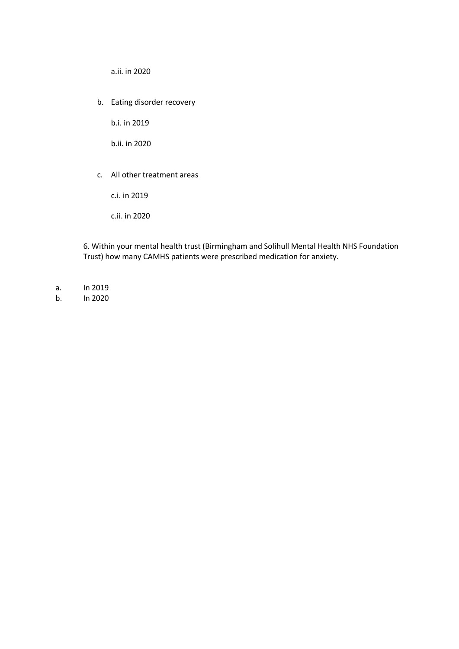a.ii. in 2020

b. Eating disorder recovery

b.i. in 2019

b.ii. in 2020

c. All other treatment areas

c.i. in 2019

c.ii. in 2020

6. Within your mental health trust (Birmingham and Solihull Mental Health NHS Foundation Trust) how many CAMHS patients were prescribed medication for anxiety.

- a. In 2019
- b. In 2020